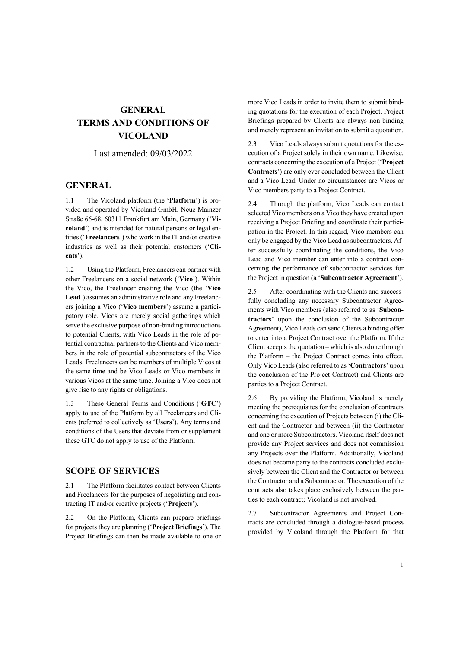# **GENERAL TERMS AND CONDITIONS OF VICOLAND**

Last amended: 09/03/2022

### **GENERAL**

1.1 The Vicoland platform (the '**Platform**') is provided and operated by Vicoland GmbH, Neue Mainzer Straße 66-68, 60311 Frankfurt am Main, Germany ('**Vicoland**') and is intended for natural persons or legal entities ('**Freelancers**') who work in the IT and/or creative industries as well as their potential customers ('**Clients**').

1.2 Using the Platform, Freelancers can partner with other Freelancers on a social network ('**Vico**'). Within the Vico, the Freelancer creating the Vico (the '**Vico Lead**') assumes an administrative role and any Freelancers joining a Vico ('**Vico members**') assume a participatory role. Vicos are merely social gatherings which serve the exclusive purpose of non-binding introductions to potential Clients, with Vico Leads in the role of potential contractual partners to the Clients and Vico members in the role of potential subcontractors of the Vico Leads. Freelancers can be members of multiple Vicos at the same time and be Vico Leads or Vico members in various Vicos at the same time. Joining a Vico does not give rise to any rights or obligations.

1.3 These General Terms and Conditions ('**GTC**') apply to use of the Platform by all Freelancers and Clients (referred to collectively as '**Users**'). Any terms and conditions of the Users that deviate from or supplement these GTC do not apply to use of the Platform.

### **SCOPE OF SERVICES**

2.1 The Platform facilitates contact between Clients and Freelancers for the purposes of negotiating and contracting IT and/or creative projects ('**Projects**').

2.2 On the Platform, Clients can prepare briefings for projects they are planning ('**Project Briefings**'). The Project Briefings can then be made available to one or more Vico Leads in order to invite them to submit binding quotations for the execution of each Project. Project Briefings prepared by Clients are always non-binding and merely represent an invitation to submit a quotation.

2.3 Vico Leads always submit quotations for the execution of a Project solely in their own name. Likewise, contracts concerning the execution of a Project ('**Project Contracts**') are only ever concluded between the Client and a Vico Lead. Under no circumstances are Vicos or Vico members party to a Project Contract.

2.4 Through the platform, Vico Leads can contact selected Vico members on a Vico they have created upon receiving a Project Briefing and coordinate their participation in the Project. In this regard, Vico members can only be engaged by the Vico Lead as subcontractors. After successfully coordinating the conditions, the Vico Lead and Vico member can enter into a contract concerning the performance of subcontractor services for the Project in question (a '**Subcontractor Agreement**').

2.5 After coordinating with the Clients and successfully concluding any necessary Subcontractor Agreements with Vico members (also referred to as '**Subcontractors**' upon the conclusion of the Subcontractor Agreement), Vico Leads can send Clients a binding offer to enter into a Project Contract over the Platform. If the Client accepts the quotation – which is also done through the Platform – the Project Contract comes into effect. Only Vico Leads (also referred to as '**Contractors**' upon the conclusion of the Project Contract) and Clients are parties to a Project Contract.

2.6 By providing the Platform, Vicoland is merely meeting the prerequisites for the conclusion of contracts concerning the execution of Projects between (i) the Client and the Contractor and between (ii) the Contractor and one or more Subcontractors. Vicoland itself does not provide any Project services and does not commission any Projects over the Platform. Additionally, Vicoland does not become party to the contracts concluded exclusively between the Client and the Contractor or between the Contractor and a Subcontractor. The execution of the contracts also takes place exclusively between the parties to each contract; Vicoland is not involved.

2.7 Subcontractor Agreements and Project Contracts are concluded through a dialogue-based process provided by Vicoland through the Platform for that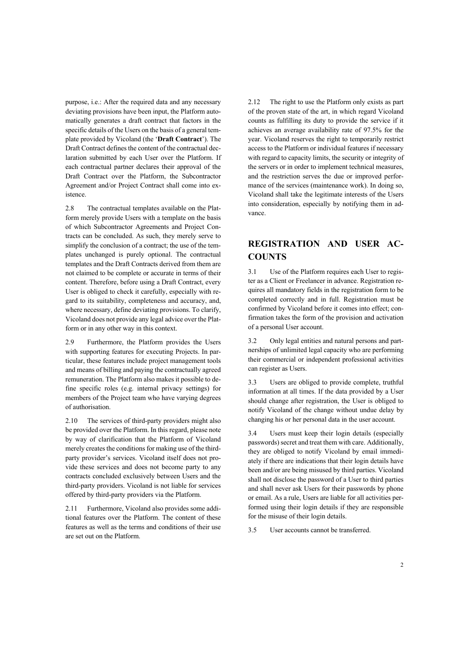purpose, i.e.: After the required data and any necessary deviating provisions have been input, the Platform automatically generates a draft contract that factors in the specific details of the Users on the basis of a general template provided by Vicoland (the '**Draft Contract**'). The Draft Contract defines the content of the contractual declaration submitted by each User over the Platform. If each contractual partner declares their approval of the Draft Contract over the Platform, the Subcontractor Agreement and/or Project Contract shall come into existence.

2.8 The contractual templates available on the Platform merely provide Users with a template on the basis of which Subcontractor Agreements and Project Contracts can be concluded. As such, they merely serve to simplify the conclusion of a contract; the use of the templates unchanged is purely optional. The contractual templates and the Draft Contracts derived from them are not claimed to be complete or accurate in terms of their content. Therefore, before using a Draft Contract, every User is obliged to check it carefully, especially with regard to its suitability, completeness and accuracy, and, where necessary, define deviating provisions. To clarify, Vicoland does not provide any legal advice over the Platform or in any other way in this context.

2.9 Furthermore, the Platform provides the Users with supporting features for executing Projects. In particular, these features include project management tools and means of billing and paying the contractually agreed remuneration. The Platform also makes it possible to define specific roles (e.g. internal privacy settings) for members of the Project team who have varying degrees of authorisation.

2.10 The services of third-party providers might also be provided over the Platform. In this regard, please note by way of clarification that the Platform of Vicoland merely creates the conditions for making use of the thirdparty provider's services. Vicoland itself does not provide these services and does not become party to any contracts concluded exclusively between Users and the third-party providers. Vicoland is not liable for services offered by third-party providers via the Platform.

2.11 Furthermore, Vicoland also provides some additional features over the Platform. The content of these features as well as the terms and conditions of their use are set out on the Platform.

2.12 The right to use the Platform only exists as part of the proven state of the art, in which regard Vicoland counts as fulfilling its duty to provide the service if it achieves an average availability rate of 97.5% for the year. Vicoland reserves the right to temporarily restrict access to the Platform or individual features if necessary with regard to capacity limits, the security or integrity of the servers or in order to implement technical measures, and the restriction serves the due or improved performance of the services (maintenance work). In doing so, Vicoland shall take the legitimate interests of the Users into consideration, especially by notifying them in advance.

## **REGISTRATION AND USER AC-COUNTS**

3.1 Use of the Platform requires each User to register as a Client or Freelancer in advance. Registration requires all mandatory fields in the registration form to be completed correctly and in full. Registration must be confirmed by Vicoland before it comes into effect; confirmation takes the form of the provision and activation of a personal User account.

3.2 Only legal entities and natural persons and partnerships of unlimited legal capacity who are performing their commercial or independent professional activities can register as Users.

3.3 Users are obliged to provide complete, truthful information at all times. If the data provided by a User should change after registration, the User is obliged to notify Vicoland of the change without undue delay by changing his or her personal data in the user account.

3.4 Users must keep their login details (especially passwords) secret and treat them with care. Additionally, they are obliged to notify Vicoland by email immediately if there are indications that their login details have been and/or are being misused by third parties. Vicoland shall not disclose the password of a User to third parties and shall never ask Users for their passwords by phone or email. As a rule, Users are liable for all activities performed using their login details if they are responsible for the misuse of their login details.

3.5 User accounts cannot be transferred.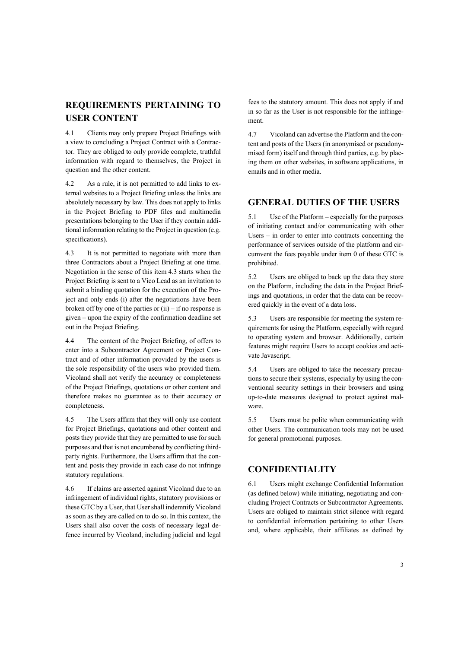## **REQUIREMENTS PERTAINING TO USER CONTENT**

4.1 Clients may only prepare Project Briefings with a view to concluding a Project Contract with a Contractor. They are obliged to only provide complete, truthful information with regard to themselves, the Project in question and the other content.

4.2 As a rule, it is not permitted to add links to external websites to a Project Briefing unless the links are absolutely necessary by law. This does not apply to links in the Project Briefing to PDF files and multimedia presentations belonging to the User if they contain additional information relating to the Project in question (e.g. specifications).

4.3 It is not permitted to negotiate with more than three Contractors about a Project Briefing at one time. Negotiation in the sense of this item 4.3 starts when the Project Briefing is sent to a Vico Lead as an invitation to submit a binding quotation for the execution of the Project and only ends (i) after the negotiations have been broken off by one of the parties or  $(ii)$  – if no response is given – upon the expiry of the confirmation deadline set out in the Project Briefing.

4.4 The content of the Project Briefing, of offers to enter into a Subcontractor Agreement or Project Contract and of other information provided by the users is the sole responsibility of the users who provided them. Vicoland shall not verify the accuracy or completeness of the Project Briefings, quotations or other content and therefore makes no guarantee as to their accuracy or completeness.

4.5 The Users affirm that they will only use content for Project Briefings, quotations and other content and posts they provide that they are permitted to use for such purposes and that is not encumbered by conflicting thirdparty rights. Furthermore, the Users affirm that the content and posts they provide in each case do not infringe statutory regulations.

4.6 If claims are asserted against Vicoland due to an infringement of individual rights, statutory provisions or these GTC by a User, that User shall indemnify Vicoland as soon as they are called on to do so. In this context, the Users shall also cover the costs of necessary legal defence incurred by Vicoland, including judicial and legal

fees to the statutory amount. This does not apply if and in so far as the User is not responsible for the infringement.

4.7 Vicoland can advertise the Platform and the content and posts of the Users (in anonymised or pseudonymised form) itself and through third parties, e.g. by placing them on other websites, in software applications, in emails and in other media.

## **GENERAL DUTIES OF THE USERS**

5.1 Use of the Platform – especially for the purposes of initiating contact and/or communicating with other Users – in order to enter into contracts concerning the performance of services outside of the platform and circumvent the fees payable under item 0 of these GTC is prohibited.

5.2 Users are obliged to back up the data they store on the Platform, including the data in the Project Briefings and quotations, in order that the data can be recovered quickly in the event of a data loss.

5.3 Users are responsible for meeting the system requirements for using the Platform, especially with regard to operating system and browser. Additionally, certain features might require Users to accept cookies and activate Javascript.

5.4 Users are obliged to take the necessary precautions to secure their systems, especially by using the conventional security settings in their browsers and using up-to-date measures designed to protect against malware.

5.5 Users must be polite when communicating with other Users. The communication tools may not be used for general promotional purposes.

### **CONFIDENTIALITY**

6.1 Users might exchange Confidential Information (as defined below) while initiating, negotiating and concluding Project Contracts or Subcontractor Agreements. Users are obliged to maintain strict silence with regard to confidential information pertaining to other Users and, where applicable, their affiliates as defined by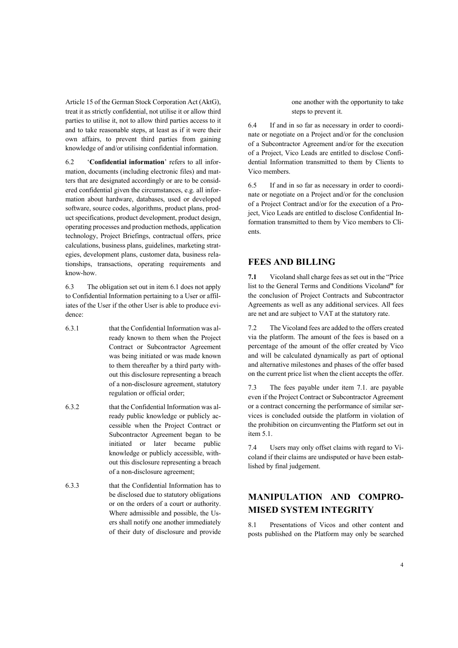Article 15 of the German Stock Corporation Act (AktG), treat it as strictly confidential, not utilise it or allow third parties to utilise it, not to allow third parties access to it and to take reasonable steps, at least as if it were their own affairs, to prevent third parties from gaining knowledge of and/or utilising confidential information.

6.2 '**Confidential information**' refers to all information, documents (including electronic files) and matters that are designated accordingly or are to be considered confidential given the circumstances, e.g. all information about hardware, databases, used or developed software, source codes, algorithms, product plans, product specifications, product development, product design, operating processes and production methods, application technology, Project Briefings, contractual offers, price calculations, business plans, guidelines, marketing strategies, development plans, customer data, business relationships, transactions, operating requirements and know-how.

6.3 The obligation set out in item 6.1 does not apply to Confidential Information pertaining to a User or affiliates of the User if the other User is able to produce evidence:

- 6.3.1 that the Confidential Information was already known to them when the Project Contract or Subcontractor Agreement was being initiated or was made known to them thereafter by a third party without this disclosure representing a breach of a non-disclosure agreement, statutory regulation or official order;
- 6.3.2 that the Confidential Information was already public knowledge or publicly accessible when the Project Contract or Subcontractor Agreement began to be initiated or later became public knowledge or publicly accessible, without this disclosure representing a breach of a non-disclosure agreement;
- 6.3.3 that the Confidential Information has to be disclosed due to statutory obligations or on the orders of a court or authority. Where admissible and possible, the Users shall notify one another immediately of their duty of disclosure and provide

one another with the opportunity to take steps to prevent it.

6.4 If and in so far as necessary in order to coordinate or negotiate on a Project and/or for the conclusion of a Subcontractor Agreement and/or for the execution of a Project, Vico Leads are entitled to disclose Confidential Information transmitted to them by Clients to Vico members.

6.5 If and in so far as necessary in order to coordinate or negotiate on a Project and/or for the conclusion of a Project Contract and/or for the execution of a Project, Vico Leads are entitled to disclose Confidential Information transmitted to them by Vico members to Clients.

## **FEES AND BILLING**

**7.1** Vicoland shall charge fees as set out in the "Price list to the General Terms and Conditions Vicoland**"** for the conclusion of Project Contracts and Subcontractor Agreements as well as any additional services. All fees are net and are subject to VAT at the statutory rate.

7.2 The Vicoland fees are added to the offers created via the platform. The amount of the fees is based on a percentage of the amount of the offer created by Vico and will be calculated dynamically as part of optional and alternative milestones and phases of the offer based on the current price list when the client accepts the offer.

7.3 The fees payable under item 7.1. are payable even if the Project Contract or Subcontractor Agreement or a contract concerning the performance of similar services is concluded outside the platform in violation of the prohibition on circumventing the Platform set out in item 5.1.

7.4 Users may only offset claims with regard to Vicoland if their claims are undisputed or have been established by final judgement.

# **MANIPULATION AND COMPRO-MISED SYSTEM INTEGRITY**

8.1 Presentations of Vicos and other content and posts published on the Platform may only be searched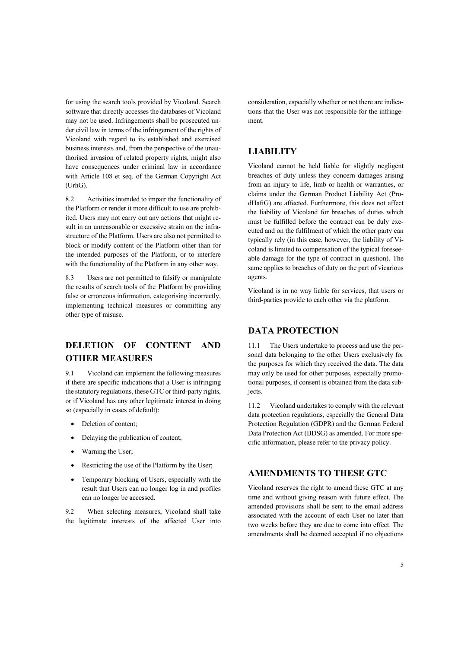for using the search tools provided by Vicoland. Search software that directly accesses the databases of Vicoland may not be used. Infringements shall be prosecuted under civil law in terms of the infringement of the rights of Vicoland with regard to its established and exercised business interests and, from the perspective of the unauthorised invasion of related property rights, might also have consequences under criminal law in accordance with Article 108 et seq. of the German Copyright Act (UrhG).

8.2 Activities intended to impair the functionality of the Platform or render it more difficult to use are prohibited. Users may not carry out any actions that might result in an unreasonable or excessive strain on the infrastructure of the Platform. Users are also not permitted to block or modify content of the Platform other than for the intended purposes of the Platform, or to interfere with the functionality of the Platform in any other way.

8.3 Users are not permitted to falsify or manipulate the results of search tools of the Platform by providing false or erroneous information, categorising incorrectly, implementing technical measures or committing any other type of misuse.

# **DELETION OF CONTENT AND OTHER MEASURES**

9.1 Vicoland can implement the following measures if there are specific indications that a User is infringing the statutory regulations, these GTC or third-party rights, or if Vicoland has any other legitimate interest in doing so (especially in cases of default):

- Deletion of content;
- Delaying the publication of content;
- Warning the User;
- Restricting the use of the Platform by the User;
- Temporary blocking of Users, especially with the result that Users can no longer log in and profiles can no longer be accessed.

9.2 When selecting measures, Vicoland shall take the legitimate interests of the affected User into consideration, especially whether or not there are indications that the User was not responsible for the infringement.

### **LIABILITY**

Vicoland cannot be held liable for slightly negligent breaches of duty unless they concern damages arising from an injury to life, limb or health or warranties, or claims under the German Product Liability Act (ProdHaftG) are affected. Furthermore, this does not affect the liability of Vicoland for breaches of duties which must be fulfilled before the contract can be duly executed and on the fulfilment of which the other party can typically rely (in this case, however, the liability of Vicoland is limited to compensation of the typical foreseeable damage for the type of contract in question). The same applies to breaches of duty on the part of vicarious agents.

Vicoland is in no way liable for services, that users or third-parties provide to each other via the platform.

#### **DATA PROTECTION**

11.1 The Users undertake to process and use the personal data belonging to the other Users exclusively for the purposes for which they received the data. The data may only be used for other purposes, especially promotional purposes, if consent is obtained from the data subjects.

11.2 Vicoland undertakes to comply with the relevant data protection regulations, especially the General Data Protection Regulation (GDPR) and the German Federal Data Protection Act (BDSG) as amended. For more specific information, please refer to the privacy policy.

#### **AMENDMENTS TO THESE GTC**

Vicoland reserves the right to amend these GTC at any time and without giving reason with future effect. The amended provisions shall be sent to the email address associated with the account of each User no later than two weeks before they are due to come into effect. The amendments shall be deemed accepted if no objections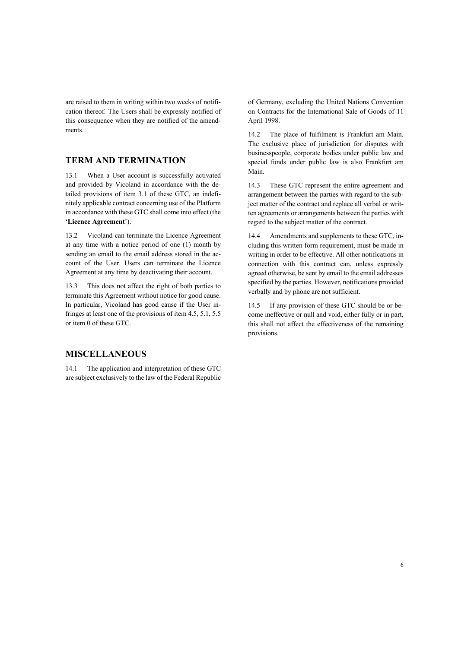are raised to them in writing within two weeks of notification thereof. The Users shall be expressly notified of this consequence when they are notified of the amendments.

### **TERM AND TERMINATION**

13.1 When a User account is successfully activated and provided by Vicoland in accordance with the detailed provisions of item 3.1 of these GTC, an indefinitely applicable contract concerning use of the Platform in accordance with these GTC shall come into effect (the '**Licence Agreement**').

13.2 Vicoland can terminate the Licence Agreement at any time with a notice period of one (1) month by sending an email to the email address stored in the account of the User. Users can terminate the Licence Agreement at any time by deactivating their account.

13.3 This does not affect the right of both parties to terminate this Agreement without notice for good cause. In particular, Vicoland has good cause if the User infringes at least one of the provisions of item 4.5, 5.1, 5.5 or item 0 of these GTC.

### **MISCELLANEOUS**

14.1 The application and interpretation of these GTC are subject exclusively to the law of the Federal Republic of Germany, excluding the United Nations Convention on Contracts for the International Sale of Goods of 11 April 1998.

14.2 The place of fulfilment is Frankfurt am Main. The exclusive place of jurisdiction for disputes with businesspeople, corporate bodies under public law and special funds under public law is also Frankfurt am Main.

14.3 These GTC represent the entire agreement and arrangement between the parties with regard to the subject matter of the contract and replace all verbal or written agreements or arrangements between the parties with regard to the subject matter of the contract.

14.4 Amendments and supplements to these GTC, including this written form requirement, must be made in writing in order to be effective. All other notifications in connection with this contract can, unless expressly agreed otherwise, be sent by email to the email addresses specified by the parties. However, notifications provided verbally and by phone are not sufficient.

14.5 If any provision of these GTC should be or become ineffective or null and void, either fully or in part, this shall not affect the effectiveness of the remaining provisions.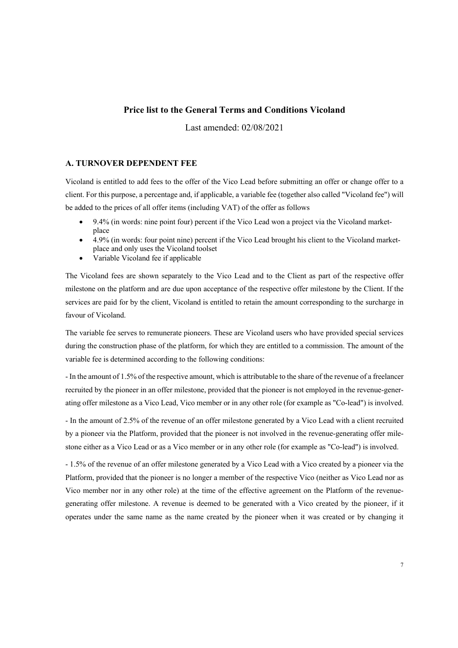#### **Price list to the General Terms and Conditions Vicoland**

Last amended: 02/08/2021

#### **A. TURNOVER DEPENDENT FEE**

Vicoland is entitled to add fees to the offer of the Vico Lead before submitting an offer or change offer to a client. For this purpose, a percentage and, if applicable, a variable fee (together also called "Vicoland fee") will be added to the prices of all offer items (including VAT) of the offer as follows

- 9.4% (in words: nine point four) percent if the Vico Lead won a project via the Vicoland marketplace
- 4.9% (in words: four point nine) percent if the Vico Lead brought his client to the Vicoland marketplace and only uses the Vicoland toolset
- Variable Vicoland fee if applicable

The Vicoland fees are shown separately to the Vico Lead and to the Client as part of the respective offer milestone on the platform and are due upon acceptance of the respective offer milestone by the Client. If the services are paid for by the client, Vicoland is entitled to retain the amount corresponding to the surcharge in favour of Vicoland.

The variable fee serves to remunerate pioneers. These are Vicoland users who have provided special services during the construction phase of the platform, for which they are entitled to a commission. The amount of the variable fee is determined according to the following conditions:

- In the amount of 1.5% of the respective amount, which is attributable to the share of the revenue of a freelancer recruited by the pioneer in an offer milestone, provided that the pioneer is not employed in the revenue-generating offer milestone as a Vico Lead, Vico member or in any other role (for example as "Co-lead") is involved.

- In the amount of 2.5% of the revenue of an offer milestone generated by a Vico Lead with a client recruited by a pioneer via the Platform, provided that the pioneer is not involved in the revenue-generating offer milestone either as a Vico Lead or as a Vico member or in any other role (for example as "Co-lead") is involved.

- 1.5% of the revenue of an offer milestone generated by a Vico Lead with a Vico created by a pioneer via the Platform, provided that the pioneer is no longer a member of the respective Vico (neither as Vico Lead nor as Vico member nor in any other role) at the time of the effective agreement on the Platform of the revenuegenerating offer milestone. A revenue is deemed to be generated with a Vico created by the pioneer, if it operates under the same name as the name created by the pioneer when it was created or by changing it